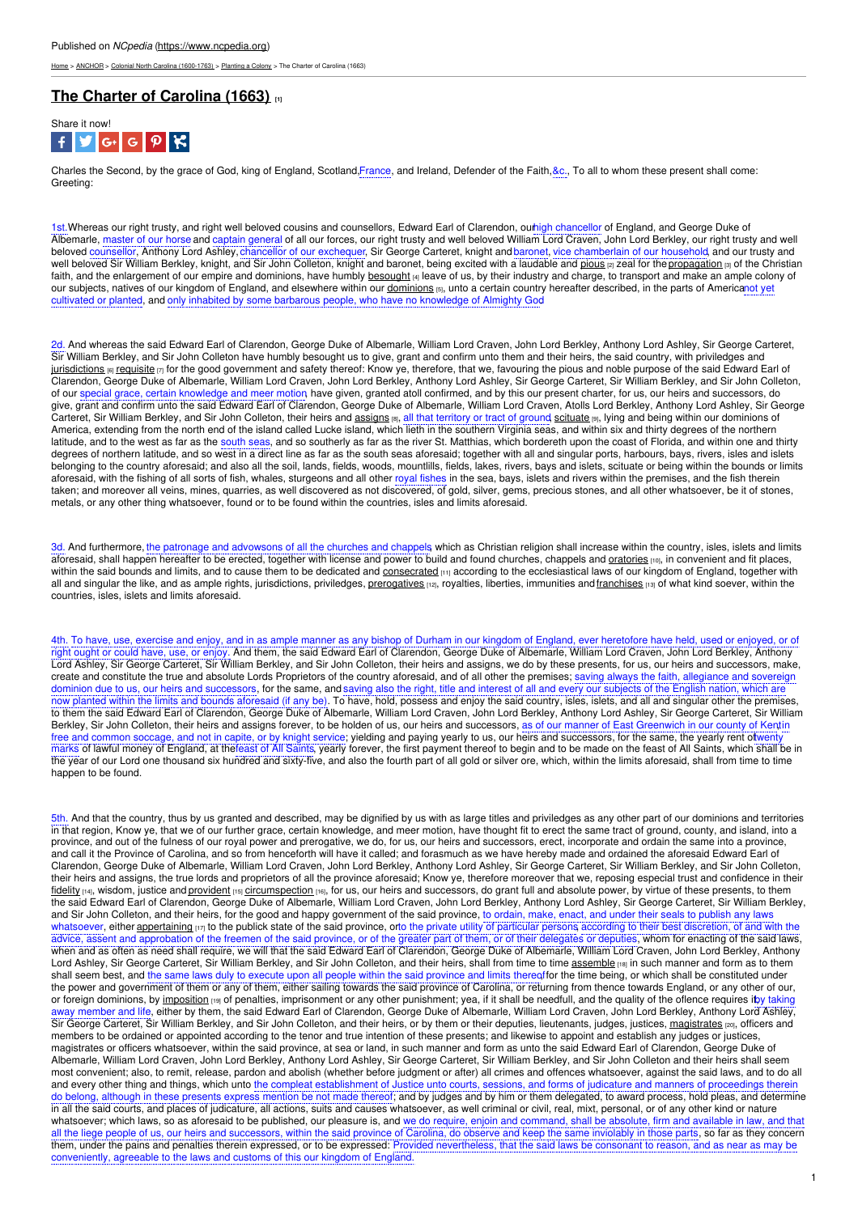[Home](https://www.ncpedia.org/) > [ANCHOR](https://www.ncpedia.org/anchor/anchor) > Colonial North Carolina [\(1600-1763\)](https://www.ncpedia.org/anchor/colonial-north-carolina-1600) > [Planting](https://www.ncpedia.org/anchor/planting-colony) a Colony > The Charter of Carolina (1663)

## **The Charter of [Carolina](https://www.ncpedia.org/anchor/charter-carolina-1663) (1663) [1]**



Charles the Second, by the grace of God, king of England, Scotland,France, and Ireland, Defender of the Faith, &c., To all to whom these present shall come: **Greeting** 

1st. Whereas our right trusty, and right well beloved cousins and counsellors, Edward Earl of Clarendon, outhigh chancellor of England, and George Duke of Albemarle, master of our horse and captain general of all our forces, our right trusty and well beloved William Lord Craven, John Lord Berkley, our right trusty and well beloved counsellor, Anthony Lord Ashley, chancellor of our exchequer, Sir George Carteret, knight andbaronet, vice chamberlain of our household, and our trusty and well beloved Sir William Berkley, knight, and Sir John Colleton, knight and baronet, being excited with a laudable and [pious](https://www.ncpedia.org/glossary/pious) [2] zeal for the [propagation](https://www.ncpedia.org/glossary/propagation) [3] of the Christian faith, and the enlargement of our empire and dominions, have humbly [besought](https://www.ncpedia.org/glossary/beseech) [4] leave of us, by their industry and charge, to transport and make an ample colony of our subjects, natives of our kingdom of [England,](http://www.social9.com) and elsewhere within our <u>[dominions](https://www.ncpedia.org/glossary/dominion)</u> (5), unto a certain country hereafter described, in the parts of Americanot yet cultivated or planted, and only inhabited by some barbarous people, who have no knowledge of Almighty God.

2d. And whereas the said Edward Earl of Clarendon, George Duke of Albemarle, William Lord Craven, John Lord Berkley, Anthony Lord Ashley, Sir George Carteret, Sir William Berkley, and Sir John Colleton have humbly besought us to give, grant and confirm unto them and their heirs, the said country, with priviledges and [jurisdictions](https://www.ncpedia.org/glossary/jurisdiction) (6) [requisite](https://www.ncpedia.org/glossary/requisite) [7] for the good government and safety thereof: Know ye, therefore, that we, favouring the pious and noble purpose of the said Edward Earl of Clarendon, George Duke of Albemarle, William Lord Craven, John Lord Berkley, Anthony Lord Ashley, Sir George Carteret, Sir William Berkley, and Sir John Colleton, of our special grace, certain knowledge and meer motion, have given, granted atoll confirmed, and by this our present charter, for us, our heirs and successors, do give, grant and confirm unto the said Edward Earl of Clarendon, George Duke of Albemarle, William Lord Craven, Atolls Lord Berkley, Anthony Lord Ashley, Sir George Carteret, Sir William Berkley, and Sir John Colleton, their heirs and <u>[assigns](https://www.ncpedia.org/glossary/assign) <sub>[8]</sub>, all</u> that territory or tract of ground, <u>[scituate](https://www.ncpedia.org/glossary/situated)</u> [9], lying and being within our dominions of America, extending from the north end of the island called Lucke island, which lieth in the southern Virginia seas, and within six and thirty degrees of the northern latitude, and to the west as far as the south seas, and so southerly as far as the river St. Matthias, which bordereth upon the coast of Florida, and within one and thirty degrees of northern latitude, and so west in a direct line as far as the south seas aforesaid; together with all and singular ports, harbours, bays, rivers, isles and islets belonging to the country aforesaid; and also all the soil, lands, fields, woods, mountlills, fields, lakes, rivers, bays and islets, scituate or being within the bounds or limits aforesaid, with the fishing of all sorts of fish, whales, sturgeons and all other royal fishes in the sea, bays, islets and rivers within the premises, and the fish therein taken; and moreover all veins, mines, quarries, as well discovered as not discovered, of gold, silver, gems, precious stones, and all other whatsoever, be it of stones, metals, or any other thing whatsoever, found or to be found within the countries, isles and limits aforesaid.

3d. And furthermore, the patronage and advowsons of all the churches and chappels which as Christian religion shall increase within the country, isles, islets and limits aforesaid, shall happen hereafter to be erected, together with license and power to build and found churches, chappels and <u>[oratories](https://www.ncpedia.org/glossary/oratory)</u> [10], in convenient and fit places, within the said bounds and limits, and to cause them to be dedicated and [consecrated](https://www.ncpedia.org/glossary/consecrated) [11] according to the ecclesiastical laws of our kingdom of England, together with all and singular the like, and as ample rights, jurisdictions, priviledges, [prerogatives](https://www.ncpedia.org/glossary/prerogative) [12], royalties, liberties, immunities and [franchises](https://www.ncpedia.org/glossary/franchise) [13] of what kind soever, within the countries, isles, islets and limits aforesaid.

4th. To have, use, exercise and enjoy, and in as ample manner as any bishop of Durham in our kingdom of England, ever heretofore have held, used or enjoyed, or of right ought or could have, use, or enjoy. And them, the said Edward Earl of Clarendon, George Duke of Albemarle, William Lord Craven, John Lord Berkley, Anthony Lord Ashley, Sir George Carteret, Sir William Berkley, and Sir John Colleton, their heirs and assigns, we do by these presents, for us, our heirs and successors, make, create and constitute the true and absolute Lords Proprietors of the country aforesaid, and of all other the premises; saving always the faith, allegiance and sovereign dominion due to us, our heirs and successors, for the same, and saving also the right, title and interest of all and every our subjects of the English nation, which are now planted within the limits and bounds aforesaid (if any be). To have, hold, possess and enjoy the said country, isles, islets, and all and singular other the premises, to them the said Edward Earl of Clarendon, George Duke of Albemarle, William Lord Craven, John Lord Berkley, Anthony Lord Ashley, Sir George Carteret, Sir William Berkley, Sir John Colleton, their heirs and assigns forever, to be holden of us, our heirs and successors, as of our manner of East Greenwich in our county of Kentin free and common soccage, and not in capite, or by knight service; yielding and paying yearly to us, our heirs and successors, for the same, the yearly rent o**t**wenty marks of lawful money of England, at thefeast of All Saints, yearly forever, the first payment thereof to begin and to be made on the feast of All Saints, which shall be in the year of our Lord one thousand six hundred and sixty-five, and also the fourth part of all gold or silver ore, which, within the limits aforesaid, shall from time to time happen to be found.

5th. And that the country, thus by us granted and described, may be dignified by us with as large titles and priviledges as any other part of our dominions and territories in that region, Know ye, that we of our further grace, certain knowledge, and meer motion, have thought fit to erect the same tract of ground, county, and island, into a province, and out of the fulness of our royal power and prerogative, we do, for us, our heirs and successors, erect, incorporate and ordain the same into a province, and call it the Province of Carolina, and so from henceforth will have it called; and forasmuch as we have hereby made and ordained the aforesaid Edward Earl of Clarendon, George Duke of Albemarle, William Lord Craven, John Lord Berkley, Anthony Lord Ashley, Sir George Carteret, Sir William Berkley, and Sir John Colleton, their heirs and assigns, the true lords and proprietors of all the province aforesaid; Know ye, therefore moreover that we, reposing especial trust and confidence in their [fidelity](https://www.ncpedia.org/glossary/fidelity) [14], wisdom, justice and [provident](https://www.ncpedia.org/glossary/provident) [15] [circumspection](https://www.ncpedia.org/glossary/circumspection) [16], for us, our heirs and successors, do grant full and absolute power, by virtue of these presents, to them the said Edward Earl of Clarendon, George Duke of Albemarle, William Lord Craven, John Lord Berkley, Anthony Lord Ashley, Sir George Carteret, Sir William Berkley, and Sir John Colleton, and their heirs, for the good and happy government of the said province, to ordain, make, enact, and under their seals to publish any laws whatsoever, either [appertaining](https://www.ncpedia.org/glossary/appertain) [17] to the publick state of the said province, orto the private utility of particular persons according to their best discretion, of and with the advice, assent and approbation of the freemen of the said province, or of the greater part of them, or of their delegates or deputies, whom for enacting of the said laws, when and as often as need shall require, we will that the said Edward Earl of Clarendon, George Duke of Albemarle, William Lord Craven, John Lord Berkley, Anthony Lord Ashley, Sir George Carteret, Sir William Berkley, and Sir John Colleton, and their heirs, shall from time to time [assemble](https://www.ncpedia.org/glossary/assemble) [18] in such manner and form as to them shall seem best, and the same laws duly to execute upon all people within the said province and limits thereoffor the time being, or which shall be constituted under the power and government of them or any of them, either sailing towards the said province of Carolina, or returning from thence towards England, or any other of our, or foreign dominions, by [imposition](https://www.ncpedia.org/glossary/imposition) [19] of penalties, imprisonment or any other punishment; yea, if it shall be needfull, and the quality of the oflence requires itb,y taking away member and life, either by them, the said Edward Earl of Clarendon, George Duke of Albemarle, William Lord Craven, John Lord Berkley, Anthony Lord Ashley, Sir George Carteret, Sir William Berkley, and Sir John Colleton, and their heirs, or by them or their deputies, lieutenants, judges, justices, [magistrates](https://www.ncpedia.org/glossary/magistrate) [20], officers and members to be ordained or appointed according to the tenor and true intention of these presents; and likewise to appoint and establish any judges or justices, magistrates or officers whatsoever, within the said province, at sea or land, in such manner and form as unto the said Edward Earl of Clarendon, George Duke of Albemarle, William Lord Craven, John Lord Berkley, Anthony Lord Ashley, Sir George Carteret, Sir William Berkley, and Sir John Colleton and their heirs shall seem most convenient; also, to remit, release, pardon and abolish (whether before judgment or after) all crimes and offences whatsoever, against the said laws, and to do all and every other thing and things, which unto the compleat establishment of Justice unto courts, sessions, and forms of judicature and manners of proceeding do belong, although in these presents express mention be not made thereof; and by judges and by him or them delegated, to award process, hold pleas, and determine in all the said courts, and places of judicature, all actions, suits and causes whatsoever, as well criminal or civil, real, mixt, personal, or of any other kind or nature whatsoever; which laws, so as aforesaid to be published, our pleasure is, and we do require, enjoin and command, shall be absolute, firm and available in law, and that all the liege people of us, our heirs and successors, within the said province of Carolina, do observe and keep the same inviolably in those parts, so far as they concern them, under the pains and penalties therein expressed, or to be expressed: Provided nevertheless, that the said laws be consonant to reason, and as near as may be conveniently, agreeable to the laws and customs of this our kingdom of England.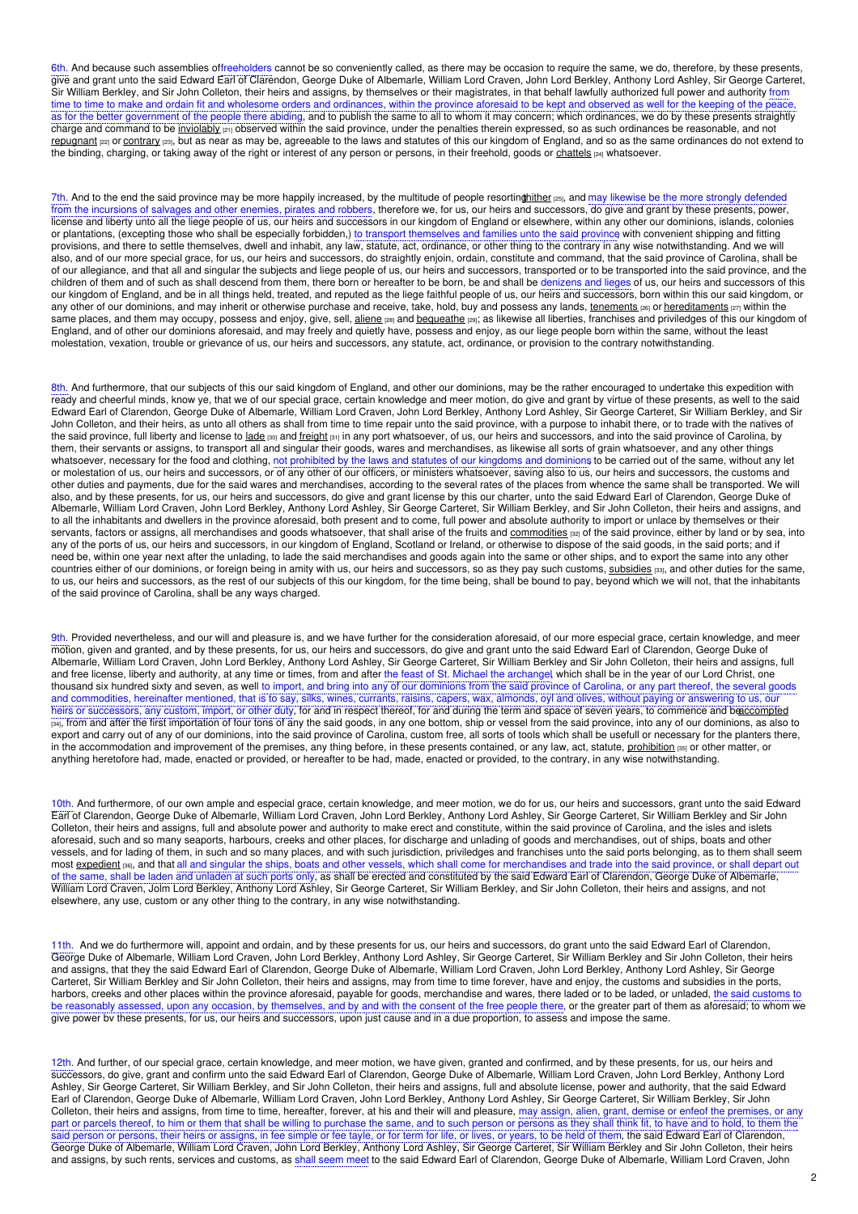6th. And because such assemblies offreeholders cannot be so conveniently called, as there may be occasion to require the same, we do, therefore, by these presents, give and grant unto the said Edward Earl of Clarendon, George Duke of Albemarle, William Lord Craven, John Lord Berkley, Anthony Lord Ashley, Sir George Carteret, Sir William Berkley, and Sir John Colleton, their heirs and assigns, by themselves or their magistrates, in that behalf lawfully authorized full power and authority from time to time to make and ordain fit and wholesome orders and ordinances, within the province aforesaid to be kept and observed as well for the keeping of the peace, as for the better government of the people there abiding, and to publish the same to all to whom it may concern; which ordinances, we do by these presents straightly charge and command to be [inviolably](https://www.ncpedia.org/glossary/inviolable)  $p_1$  observed within the said province, under the penalties therein expressed, so as such ordinances be reasonable, and not [repugnant](https://www.ncpedia.org/glossary/repugnant) [22] or [contrary](https://www.ncpedia.org/glossary/contrary) [23], but as near as may be, agreeable to the laws and statutes of this our kingdom of England, and so as the same ordinances do not extend to the binding, charging, or taking away of the right or interest of any person or persons, in their freehold, goods or [chattels](https://www.ncpedia.org/glossary/chattel) [24] whatsoever.

7th. And to the end the said province may be more happily increased, by the multitude of people resorting hither [25], and may likewise be the more strongly defended from the incursions of salvages and other enemies, pirates and robbers, therefore we, for us, our heirs and successors, do give and grant by these presents, power, license and liberty unto all the liege people of us, our heirs and successors in our kingdom of England or elsewhere, within any other our dominions, islands, colonies or plantations, (excepting those who shall be especially forbidden,) to transport themselves and families unto the said province, with convenient shipping and fitting provisions, and there to settle themselves, dwell and inhabit, any law, statute, act, ordinance, or other thing to the contrary in any wise notwithstanding. And we will also, and of our more special grace, for us, our heirs and successors, do straightly enjoin, ordain, constitute and command, that the said province of Carolina, shall be of our allegiance, and that all and singular the subjects and liege people of us, our heirs and successors, transported or to be transported into the said province, and the children of them and of such as shall descend from them, there born or hereafter to be born, be and shall be denizens and lieges of us, our heirs and successors of this our kingdom of England, and be in all things held, treated, and reputed as the liege faithful people of us, our heirs and successors, born within this our said kingdom, or any other of our dominions, and may inherit or otherwise purchase and receive, take, hold, buy and possess any lands, [tenements](https://www.ncpedia.org/glossary/tenement) [28] or [hereditaments](https://www.ncpedia.org/glossary/hereditament) [27] within the same places, and them may occupy, possess and enjoy, give, sell, [aliene](https://www.ncpedia.org/glossary/alien) [28] and [bequeathe](https://www.ncpedia.org/glossary/bequeath) [29]; as likewise all liberties, franchises and priviledges of this our kingdom of England, and of other our dominions aforesaid, and may freely and quietly have, possess and enjoy, as our liege people born within the same, without the least molestation, vexation, trouble or grievance of us, our heirs and successors, any statute, act, ordinance, or provision to the contrary notwithstanding.

8th. And furthermore, that our subjects of this our said kingdom of England, and other our dominions, may be the rather encouraged to undertake this expedition with ready and cheerful minds, know ye, that we of our special grace, certain knowledge and meer motion, do give and grant by virtue of these presents, as well to the said Edward Earl of Clarendon, George Duke of Albemarle, William Lord Craven, John Lord Berkley, Anthony Lord Ashley, Sir George Carteret, Sir William Berkley, and Sir John Colleton, and their heirs, as unto all others as shall from time to time repair unto the said province, with a purpose to inhabit there, or to trade with the natives of the said province, full liberty and license to [lade](https://www.ncpedia.org/glossary/lade) [30] and [freight](https://www.ncpedia.org/glossary/freight) [31] in any port whatsoever, of us, our heirs and successors, and into the said province of Carolina, by them, their servants or assigns, to transport all and singular their goods, wares and merchandises, as likewise all sorts of grain whatsoever, and any other things whatsoever, necessary for the food and clothing, not prohibited by the laws and statutes of our kingdoms and dominions to be carried out of the same, without any let or molestation of us, our heirs and successors, or of any other of our officers, or ministers whatsoever, saving also to us, our heirs and successors, the customs and other duties and payments, due for the said wares and merchandises, according to the several rates of the places from whence the same shall be transported. We will also, and by these presents, for us, our heirs and successors, do give and grant license by this our charter, unto the said Edward Earl of Clarendon, George Duke of Albemarle, William Lord Craven, John Lord Berkley, Anthony Lord Ashley, Sir George Carteret, Sir William Berkley, and Sir John Colleton, their heirs and assigns, and to all the inhabitants and dwellers in the province aforesaid, both present and to come, full power and absolute authority to import or unlace by themselves or their servants, factors or assigns, all merchandises and goods whatsoever, that shall arise of the fruits and [commodities](https://www.ncpedia.org/glossary/commodity) [32] of the said province, either by land or by sea, into any of the ports of us, our heirs and successors, in our kingdom of England, Scotland or Ireland, or otherwise to dispose of the said goods, in the said ports; and if need be, within one year next after the unlading, to lade the said merchandises and goods again into the same or other ships, and to export the same into any other countries either of our dominions, or foreign being in amity with us, our heirs and successors, so as they pay such customs, [subsidies](https://www.ncpedia.org/glossary/subsidy) [33], and other duties for the same, to us, our heirs and successors, as the rest of our subjects of this our kingdom, for the time being, shall be bound to pay, beyond which we will not, that the inhabitants of the said province of Carolina, shall be any ways charged.

9th. Provided nevertheless, and our will and pleasure is, and we have further for the consideration aforesaid, of our more especial grace, certain knowledge, and meer motion, given and granted, and by these presents, for us, our heirs and successors, do give and grant unto the said Edward Earl of Clarendon, George Duke of Albemarle, William Lord Craven, John Lord Berkley, Anthony Lord Ashley, Sir George Carteret, Sir William Berkley and Sir John Colleton, their heirs and assigns, full and free license, liberty and authority, at any time or times, from and after the feast of St. Michael the archangel, which shall be in the year of our Lord Christ, one thousand six hundred sixty and seven, as well to import, and bring into any of our dominions from the said province of Carolina, or any part thereof, the several goods and commodities, hereinafter mentioned, that is to say, silks, wines, currants, raisins, capers, wax, almonds, oyl and olives, without paying or answering to us, our heirs or successors, any custom, import, or other duty, for and in respect thereof, for and during the term and space of seven years, to commence and b[eaccompted](https://www.ncpedia.org/glossary/accompt) [34], from and after the first importation of four tons of any the said goods, in any one bottom, ship or vessel from the said province, into any of our dominions, as also to export and carry out of any of our dominions, into the said province of Carolina, custom free, all sorts of tools which shall be usefull or necessary for the planters there, in the accommodation and improvement of the premises, any thing before, in these presents contained, or any law, act, statute, [prohibition](https://www.ncpedia.org/glossary/prohibition) [35] or other matter, or anything heretofore had, made, enacted or provided, or hereafter to be had, made, enacted or provided, to the contrary, in any wise notwithstanding.

10th. And furthermore, of our own ample and especial grace, certain knowledge, and meer motion, we do for us, our heirs and successors, grant unto the said Edward Earl of Clarendon, George Duke of Albemarle, William Lord Craven, John Lord Berkley, Anthony Lord Ashley, Sir George Carteret, Sir William Berkley and Sir John Colleton, their heirs and assigns, full and absolute power and authority to make erect and constitute, within the said province of Carolina, and the isles and islets aforesaid, such and so many seaports, harbours, creeks and other places, for discharge and unlading of goods and merchandises, out of ships, boats and other vessels, and for lading of them, in such and so many places, and with such jurisdiction, priviledges and franchises unto the said ports belonging, as to them shall seem most <u>[expedient](https://www.ncpedia.org/glossary/expedient)</u> [36], and that all and singular the ships, boats and other vessels, which shall come for merchandises and trade into the said province, or shall depart out of the same, shall be laden and unladen at such ports only, as shall be erected and constituted by the said Edward Earl of Clarendon, George Duke of Albemarle, William Lord Craven, Jolm Lord Berkley, Anthony Lord Ashley, Sir George Carteret, Sir William Berkley, and Sir John Colleton, their heirs and assigns, and not elsewhere, any use, custom or any other thing to the contrary, in any wise notwithstanding.

11th. And we do furthermore will, appoint and ordain, and by these presents for us, our heirs and successors, do grant unto the said Edward Earl of Clarendon, George Duke of Albemarle, William Lord Craven, John Lord Berkley, Anthony Lord Ashley, Sir George Carteret, Sir William Berkley and Sir John Colleton, their heirs and assigns, that they the said Edward Earl of Clarendon, George Duke of Albemarle, William Lord Craven, John Lord Berkley, Anthony Lord Ashley, Sir George Carteret, Sir William Berkley and Sir John Colleton, their heirs and assigns, may from time to time forever, have and enjoy, the customs and subsidies in the ports, harbors, creeks and other places within the province aforesaid, payable for goods, merchandise and wares, there laded or to be laded, or unladed, the said customs to be reasonably assessed, upon any occasion, by themselves, and by and with the consent of the free people there, or the greater part of them as aforesaid; to whom we give power bv these presents, for us, our heirs and successors, upon just cause and in a due proportion, to assess and impose the same.

12th. And further, of our special grace, certain knowledge, and meer motion, we have given, granted and confirmed, and by these presents, for us, our heirs and successors, do give, grant and confirm unto the said Edward Earl of Clarendon, George Duke of Albemarle, William Lord Craven, John Lord Berkley, Anthony Lord Ashley, Sir George Carteret, Sir William Berkley, and Sir John Colleton, their heirs and assigns, full and absolute license, power and authority, that the said Edward Earl of Clarendon, George Duke of Albemarle, William Lord Craven, John Lord Berkley, Anthony Lord Ashley, Sir George Carteret, Sir William Berkley, Sir John Colleton, their heirs and assigns, from time to time, hereafter, forever, at his and their will and pleasure, may assign, alien, grant, demise or enfeof the premises, or any part or parcels thereof, to him or them that shall be willing to purchase the same, and to such person or persons as they shall think fit, to have and to hold, to them the said person or persons, their heirs or assigns, in fee simple or fee tayle, or for term for life, or lives, or years, to be held of them, the said Edward Earl of Clarendon, George Duke of Albemarle, William Lord Craven, John Lord Berkley, Anthony Lord Ashley, Sir George Carteret, Sir William Berkley and Sir John Colleton, their heirs and assigns, by such rents, services and customs, as shall seem meet to the said Edward Earl of Clarendon, George Duke of Albemarle, William Lord Craven, John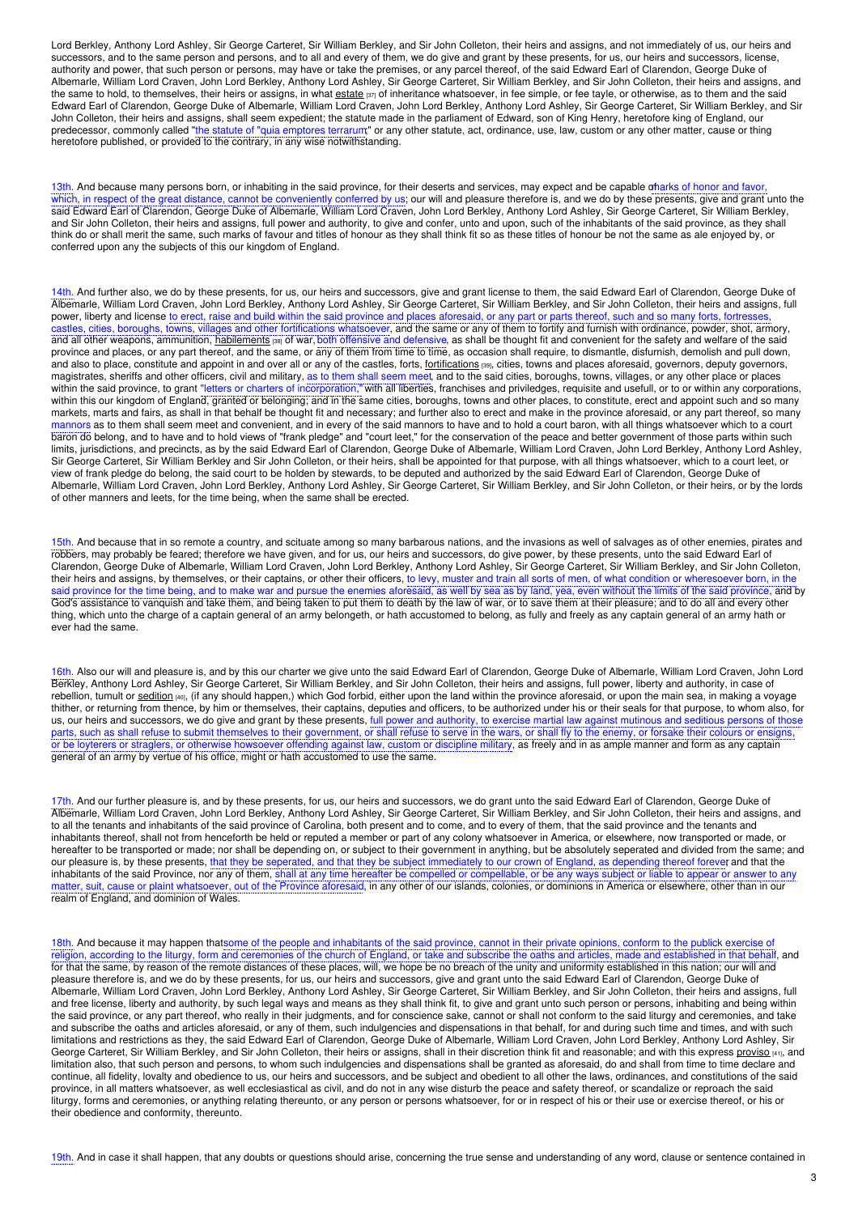Lord Berkley, Anthony Lord Ashley, Sir George Carteret, Sir William Berkley, and Sir John Colleton, their heirs and assigns, and not immediately of us, our heirs and successors, and to the same person and persons, and to all and every of them, we do give and grant by these presents, for us, our heirs and successors, license, authority and power, that such person or persons, may have or take the premises, or any parcel thereof, of the said Edward Earl of Clarendon, George Duke of Albemarle, William Lord Craven, John Lord Berkley, Anthony Lord Ashley, Sir George Carteret, Sir William Berkley, and Sir John Colleton, their heirs and assigns, and the same to hold, to themselves, their heirs or assigns, in what [estate](https://www.ncpedia.org/glossary/estate)  $\frac{1}{12}$  of inheritance whatsoever, in fee simple, or fee tayle, or otherwise, as to them and the said Edward Earl of Clarendon, George Duke of Albemarle, William Lord Craven, John Lord Berkley, Anthony Lord Ashley, Sir George Carteret, Sir William Berkley, and Sir John Colleton, their heirs and assigns, shall seem expedient; the statute made in the parliament of Edward, son of King Henry, heretofore king of England, our predecessor, commonly called "the statute of "quia emptores terrarum;" or any other statute, act, ordinance, use, law, custom or any other matter, cause or thing heretofore published, or provided to the contrary, in any wise notwithstanding.

13th. And because many persons born, or inhabiting in the said province, for their deserts and services, may expect and be capable of arks of honor and favor, which, in respect of the great distance, cannot be conveniently conferred by us; our will and pleasure therefore is, and we do by these presents, give and grant unto the said Edward Earl of Clarendon, George Duke of Albemarle, William Lord Craven, John Lord Berkley, Anthony Lord Ashley, Sir George Carteret, Sir William Berkley, and Sir John Colleton, their heirs and assigns, full power and authority, to give and confer, unto and upon, such of the inhabitants of the said province, as they shall think do or shall merit the same, such marks of favour and titles of honour as they shall think fit so as these titles of honour be not the same as ale enjoyed by, or conferred upon any the subjects of this our kingdom of England.

14th. And further also, we do by these presents, for us, our heirs and successors, give and grant license to them, the said Edward Earl of Clarendon, George Duke of Albemarle, William Lord Craven, John Lord Berkley, Anthony Lord Ashley, Sir George Carteret, Sir William Berkley, and Sir John Colleton, their heirs and assigns, full power, liberty and license to erect, raise and build within the said province and places aforesaid, or any part or parts thereof, such and so many forts, fortresses, castles, cities, boroughs, towns, villages and other fortifications whatsoever, and the same or any of them to fortify and furnish with ordinance, powder, shot, armory, and all other weapons, ammunition, [habilements](https://www.ncpedia.org/glossary/habiliment) [38] of war, both offensive and defensive, as shall be thought fit and convenient for the safety and welfare of the said province and places, or any part thereof, and the same, or any of them from time to time, as occasion shall require, to dismantle, disfurnish, demolish and pull down, and also to place, constitute and appoint in and over all or any of the castles, forts, [fortifications](https://www.ncpedia.org/glossary/fortification) [39], cities, towns and places aforesaid, governors, deputy governors, magistrates, sheriffs and other officers, civil and military, as to them shall seem meet, and to the said cities, boroughs, towns, villages, or any other place or places within the said province, to grant "letters or charters of incorporation," with all liberties, franchises and priviledges, requisite and usefull, or to or within any corporations, within this our kingdom of England, granted or belonging; and in the same cities, boroughs, towns and other places, to constitute, erect and appoint such and so many markets, marts and fairs, as shall in that behalf be thought fit and necessary; and further also to erect and make in the province aforesaid, or any part thereof, so many mannors as to them shall seem meet and convenient, and in every of the said mannors to have and to hold a court baron, with all things whatsoever which to a court baron do belong, and to have and to hold views of "frank pledge" and "court leet," for the conservation of the peace and better government of those parts within such limits, jurisdictions, and precincts, as by the said Edward Earl of Clarendon, George Duke of Albemarle, William Lord Craven, John Lord Berkley, Anthony Lord Ashley, Sir George Carteret, Sir William Berkley and Sir John Colleton, or their heirs, shall be appointed for that purpose, with all things whatsoever, which to a court leet, or view of frank pledge do belong, the said court to be holden by stewards, to be deputed and authorized by the said Edward Earl of Clarendon, George Duke of Albemarle, William Lord Craven, John Lord Berkley, Anthony Lord Ashley, Sir George Carteret, Sir William Berkley, and Sir John Colleton, or their heirs, or by the lords of other manners and leets, for the time being, when the same shall be erected.

15th. And because that in so remote a country, and scituate among so many barbarous nations, and the invasions as well of salvages as of other enemies, pirates and robbers, may probably be feared; therefore we have given, and for us, our heirs and successors, do give power, by these presents, unto the said Edward Earl of Clarendon, George Duke of Albemarle, William Lord Craven, John Lord Berkley, Anthony Lord Ashley, Sir George Carteret, Sir William Berkley, and Sir John Colleton, their heirs and assigns, by themselves, or their captains, or other their officers, to levy, muster and train all sorts of men, of what condition or wheresoever born, in the said province for the time being, and to make war and pursue the enemies aforesaid, as well by sea as by land, yea, even without the limits of the said province, and by God's assistance to vanquish and take them, and being taken to put them to death by the law of war, or to save them at their pleasure; and to do all and every other thing, which unto the charge of a captain general of an army belongeth, or hath accustomed to belong, as fully and freely as any captain general of an army hath or ever had the same.

16th. Also our will and pleasure is, and by this our charter we give unto the said Edward Earl of Clarendon, George Duke of Albemarle, William Lord Craven, John Lord Berkley, Anthony Lord Ashley, Sir George Carteret, Sir William Berkley, and Sir John Colleton, their heirs and assigns, full power, liberty and authority, in case of rebellion, tumult or [sedition](https://www.ncpedia.org/glossary/sedition) [40], (if any should happen,) which God forbid, either upon the land within the province aforesaid, or upon the main sea, in making a voyage thither, or returning from thence, by him or themselves, their captains, deputies and officers, to be authorized under his or their seals for that purpose, to whom also, for us, our heirs and successors, we do give and grant by these presents, full power and authority, to exercise martial law against mutinous and seditious persons of those parts, such as shall refuse to submit themselves to their government, or shall refuse to serve in the wars, or shall fly to the enemy, or forsake their colours or ensigns, or be loyterers or straglers, or otherwise howsoever offending against law, custom or discipline military, as freely and in as ample manner and form as any captain general of an army by vertue of his office, might or hath accustomed to use the same.

17th. And our further pleasure is, and by these presents, for us, our heirs and successors, we do grant unto the said Edward Earl of Clarendon, George Duke of Albemarle, William Lord Craven, John Lord Berkley, Anthony Lord Ashley, Sir George Carteret, Sir William Berkley, and Sir John Colleton, their heirs and assigns, and to all the tenants and inhabitants of the said province of Carolina, both present and to come, and to every of them, that the said province and the tenants and inhabitants thereof, shall not from henceforth be held or reputed a member or part of any colony whatsoever in America, or elsewhere, now transported or made, or hereafter to be transported or made; nor shall be depending on, or subject to their government in anything, but be absolutely seperated and divided from the same; and our pleasure is, by these presents, that they be seperated, and that they be subject immediately to our crown of England, as depending thereof forever and that the inhabitants of the said Province, nor any of them, shall at any time hereafter be compelled or compellable, or be any ways subject or liable to appear or answer to any matter, suit, cause or plaint whatsoever, out of the Province aforesaid, in any other of our islands, colonies, or dominions in America or elsewhere, other than in our realm of England, and dominion of Wales.

18th. And because it may happen thatsome of the people and inhabitants of the said province, cannot in their private opinions, conform to the publick exercise of religion, according to the liturgy, form and ceremonies of the church of England, or take and subscribe the oaths and articles, made and established in that behalf, and for that the same, by reason of the remote distances of these places, will, we hope be no breach of the unity and uniformity established in this nation; our will and pleasure therefore is, and we do by these presents, for us, our heirs and successors, give and grant unto the said Edward Earl of Clarendon, George Duke of Albemarle, William Lord Craven, John Lord Berkley, Anthony Lord Ashley, Sir George Carteret, Sir William Berkley, and Sir John Colleton, their heirs and assigns, full and free license, liberty and authority, by such legal ways and means as they shall think fit, to give and grant unto such person or persons, inhabiting and being within the said province, or any part thereof, who really in their judgments, and for conscience sake, cannot or shall not conform to the said liturgy and ceremonies, and take and subscribe the oaths and articles aforesaid, or any of them, such indulgencies and dispensations in that behalf, for and during such time and times, and with such limitations and restrictions as they, the said Edward Earl of Clarendon, George Duke of Albemarle, William Lord Craven, John Lord Berkley, Anthony Lord Ashley, Sir George Carteret, Sir William Berkley, and Sir John Colleton, their heirs or assigns, shall in their discretion think fit and reasonable; and with this express [proviso](https://www.ncpedia.org/glossary/proviso) [41], and limitation also, that such person and persons, to whom such indulgencies and dispensations shall be granted as aforesaid, do and shall from time to time declare and continue, all fidelity, lovalty and obedience to us, our heirs and successors, and be subject and obedient to all other the laws, ordinances, and constitutions of the said province, in all matters whatsoever, as well ecclesiastical as civil, and do not in any wise disturb the peace and safety thereof, or scandalize or reproach the said liturgy, forms and ceremonies, or anything relating thereunto, or any person or persons whatsoever, for or in respect of his or their use or exercise thereof, or his or their obedience and conformity, thereunto.

19th. And in case it shall happen, that any doubts or questions should arise, concerning the true sense and understanding of any word, clause or sentence contained in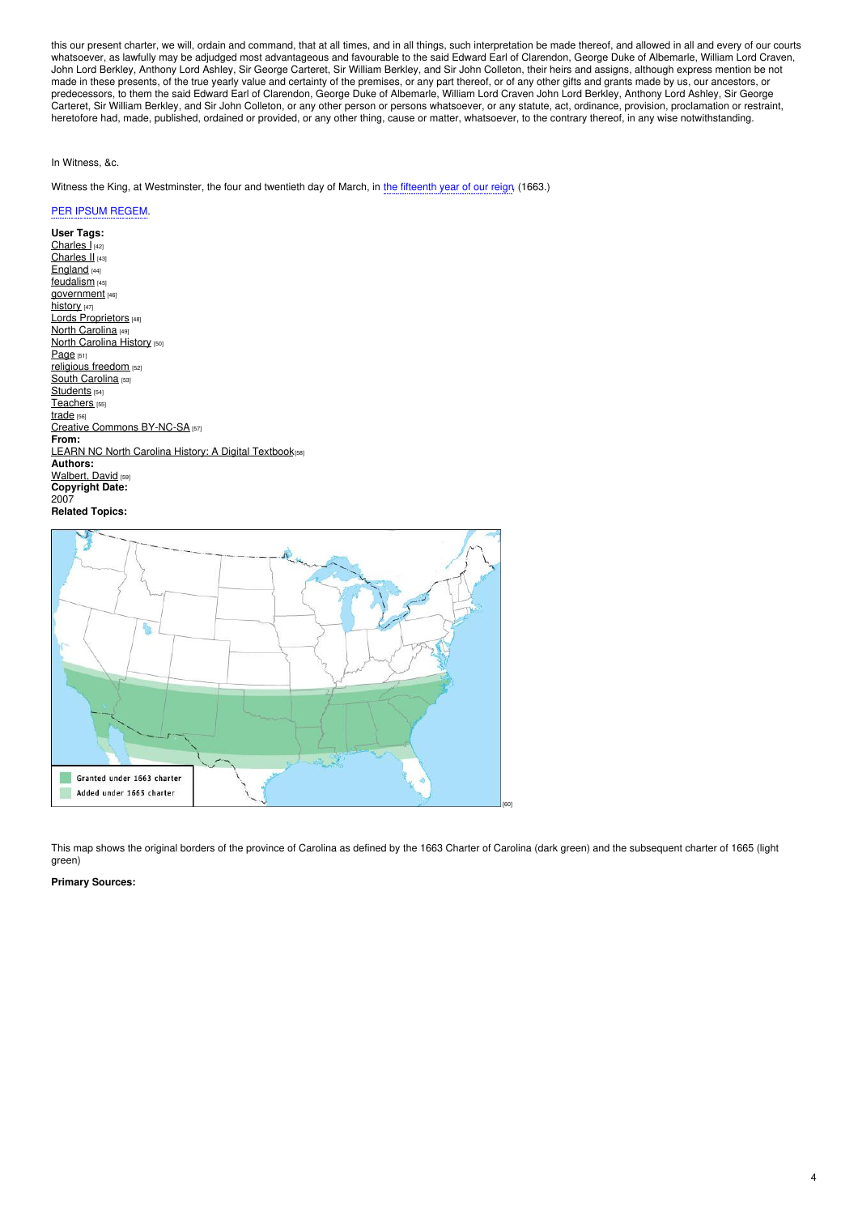this our present charter, we will, ordain and command, that at all times, and in all things, such interpretation be made thereof, and allowed in all and every of our courts whatsoever, as lawfully may be adjudged most advantageous and favourable to the said Edward Earl of Clarendon, George Duke of Albemarle, William Lord Craven, John Lord Berkley, Anthony Lord Ashley, Sir George Carteret, Sir William Berkley, and Sir John Colleton, their heirs and assigns, although express mention be not made in these presents, of the true yearly value and certainty of the premises, or any part thereof, or of any other gifts and grants made by us, our ancestors, or predecessors, to them the said Edward Earl of Clarendon, George Duke of Albemarle, William Lord Craven John Lord Berkley, Anthony Lord Ashley, Sir George Carteret, Sir William Berkley, and Sir John Colleton, or any other person or persons whatsoever, or any statute, act, ordinance, provision, proclamation or restraint, heretofore had, made, published, ordained or provided, or any other thing, cause or matter, whatsoever, to the contrary thereof, in any wise notwithstanding.

## In Witness, &c.

Witness the King, at Westminster, the four and twentieth day of March, in the fifteenth year of our reign, (1663.)

## PER IPSUM REGEM.

**User Tags:** [Charles](https://www.ncpedia.org/category/user-tags/charles-i) I<sub>[42]</sub> [Charles](https://www.ncpedia.org/category/user-tags/charles-ii) II [43] [England](https://www.ncpedia.org/category/user-tags/england) [44] [feudalism](https://www.ncpedia.org/category/user-tags/feudalism) [45] [government](https://www.ncpedia.org/category/user-tags/government) [46] [history](https://www.ncpedia.org/category/user-tags/history) [47] Lords [Proprietors](https://www.ncpedia.org/category/user-tags/lords) [48] North [Carolina](https://www.ncpedia.org/category/user-tags/north-carolina-5) [49] **North [Carolina](https://www.ncpedia.org/category/user-tags/north-carolina-6) History [50]** [Page](https://www.ncpedia.org/category/user-tags/page) [51] [religious](https://www.ncpedia.org/category/user-tags/religious) freedom [52] South [Carolina](https://www.ncpedia.org/category/user-tags/south-carolina) [53] [Students](https://www.ncpedia.org/category/user-tags/students) [54] [Teachers](https://www.ncpedia.org/category/user-tags/teachers) [55] [trade](https://www.ncpedia.org/category/user-tags/trade) [56] Creative [Commons](https://www.ncpedia.org/category/user-tags/creative-commons) BY-NC-SA [57] **From:** LEARN NC North Carolina History: A Digital [Textbook](https://www.ncpedia.org/category/entry-source/learn-nc)<sub>[58]</sub> **Authors:** [Walbert,](https://www.ncpedia.org/category/authors/walbert-david-0) David [59] **Copyright Date:** 2007 **Related Topics:**



This map shows the original borders of the province of Carolina as defined by the 1663 Charter of Carolina (dark green) and the subsequent charter of 1665 (light green)

**Primary Sources:**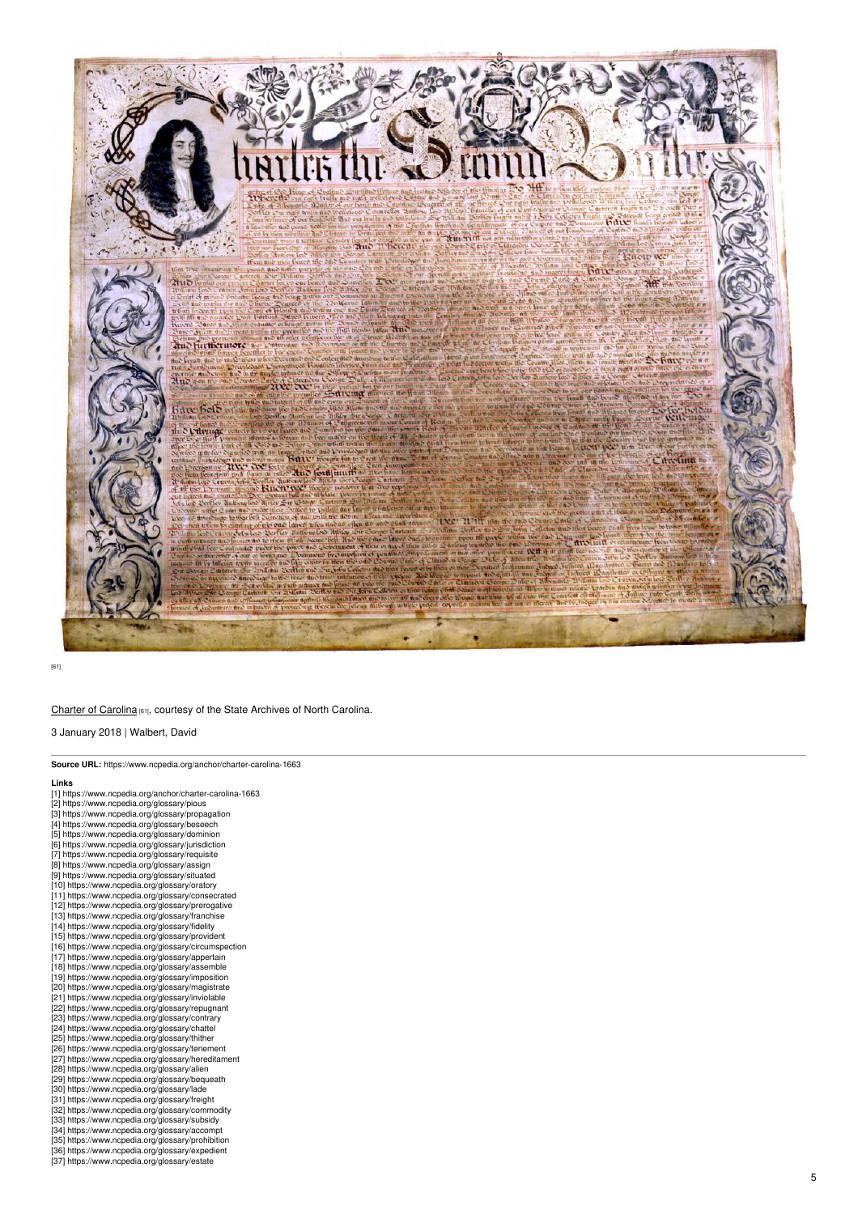

[6 1]

## Charter of Ca[rolin](https://digital.ncdcr.gov/digital/collection/p15012coll11/id/10)a [61], courtesy of the State Archives of North Carolina.

3 January 2018 | Walbert, David

| Source URL: https://www.ncpedia.org/anchor/charter-carolina-1663 |
|------------------------------------------------------------------|
| Links                                                            |
| [1] https://www.ncpedia.org/anchor/charter-carolina-1663         |
| [2] https://www.ncpedia.org/glossary/pious                       |
| [3] https://www.ncpedia.org/glossary/propagation                 |
| [4] https://www.ncpedia.org/glossary/beseech                     |
| [5] https://www.ncpedia.org/glossary/dominion                    |
| [6] https://www.ncpedia.org/glossary/jurisdiction                |
| [7] https://www.ncpedia.org/glossary/requisite                   |
| [8] https://www.ncpedia.org/glossary/assign                      |
| [9] https://www.ncpedia.org/glossary/situated                    |
| [10] https://www.ncpedia.org/glossary/oratory                    |
| [11] https://www.ncpedia.org/glossary/consecrated                |
| [12] https://www.ncpedia.org/glossary/prerogative                |
| [13] https://www.ncpedia.org/glossary/franchise                  |
| [14] https://www.ncpedia.org/glossary/fidelity                   |
| [15] https://www.ncpedia.org/glossary/provident                  |
| [16] https://www.ncpedia.org/glossary/circumspection             |
| [17] https://www.ncpedia.org/glossary/appertain                  |
| [18] https://www.ncpedia.org/glossary/assemble                   |
| [19] https://www.ncpedia.org/glossary/imposition                 |
| [20] https://www.ncpedia.org/glossary/magistrate                 |
| [21] https://www.ncpedia.org/glossary/inviolable                 |
| [22] https://www.ncpedia.org/glossary/repugnant                  |
| [23] https://www.ncpedia.org/glossary/contrary                   |
| [24] https://www.ncpedia.org/glossary/chattel                    |
| [25] https://www.ncpedia.org/glossary/thither                    |
| [26] https://www.ncpedia.org/glossary/tenement                   |
| [27] https://www.ncpedia.org/glossary/hereditament               |
| [28] https://www.ncpedia.org/glossary/alien                      |
| [29] https://www.ncpedia.org/glossary/bequeath                   |
| [30] https://www.ncpedia.org/glossary/lade                       |
| [31] https://www.ncpedia.org/glossary/freight                    |
| [32] https://www.ncpedia.org/glossary/commodity                  |
| [33] https://www.ncpedia.org/glossary/subsidy                    |
| [34] https://www.ncpedia.org/glossary/accompt                    |
| [35] https://www.ncpedia.org/glossary/prohibition                |
| [36] https://www.ncpedia.org/glossary/expedient                  |
| [37] https://www.ncpedia.org/glossary/estate                     |